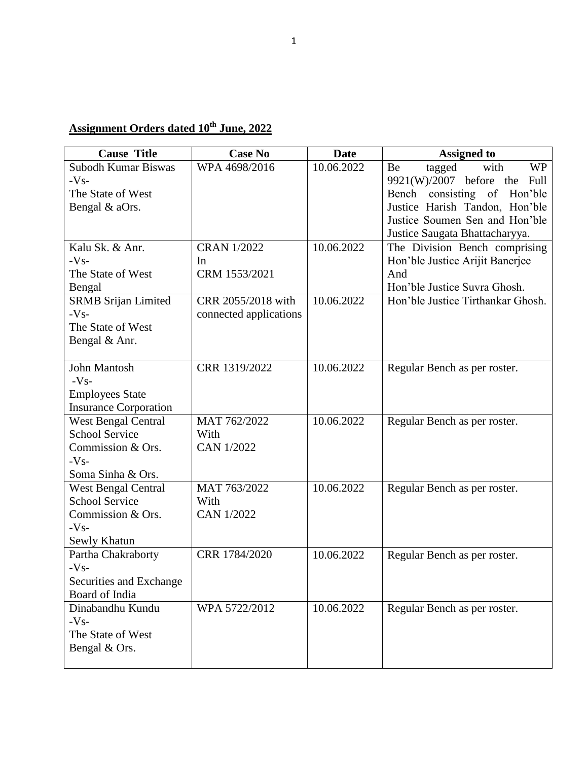## **Assignment Orders dated 10th June, 2022**

| <b>Cause Title</b>                        | <b>Case No</b>         | <b>Date</b> | <b>Assigned to</b>                   |
|-------------------------------------------|------------------------|-------------|--------------------------------------|
| Subodh Kumar Biswas                       | WPA 4698/2016          | 10.06.2022  | tagged<br>with<br><b>WP</b><br>Be    |
| $-Vs-$                                    |                        |             | 9921(W)/2007 before the Full         |
| The State of West                         |                        |             | of<br>consisting<br>Hon'ble<br>Bench |
| Bengal & aOrs.                            |                        |             | Justice Harish Tandon, Hon'ble       |
|                                           |                        |             | Justice Soumen Sen and Hon'ble       |
|                                           |                        |             | Justice Saugata Bhattacharyya.       |
| Kalu Sk. & Anr.                           | <b>CRAN 1/2022</b>     | 10.06.2022  | The Division Bench comprising        |
| $-Vs-$                                    | In                     |             | Hon'ble Justice Arijit Banerjee      |
| The State of West                         | CRM 1553/2021          |             | And                                  |
| Bengal                                    |                        |             | Hon'ble Justice Suvra Ghosh.         |
| <b>SRMB Srijan Limited</b>                | CRR 2055/2018 with     | 10.06.2022  | Hon'ble Justice Tirthankar Ghosh.    |
| $-Vs-$<br>The State of West               | connected applications |             |                                      |
| Bengal & Anr.                             |                        |             |                                      |
|                                           |                        |             |                                      |
| <b>John Mantosh</b>                       | CRR 1319/2022          | 10.06.2022  | Regular Bench as per roster.         |
| $-Vs-$                                    |                        |             |                                      |
| <b>Employees State</b>                    |                        |             |                                      |
| <b>Insurance Corporation</b>              |                        |             |                                      |
| <b>West Bengal Central</b>                | MAT 762/2022           | 10.06.2022  | Regular Bench as per roster.         |
| <b>School Service</b>                     | With                   |             |                                      |
| Commission & Ors.                         | <b>CAN 1/2022</b>      |             |                                      |
| $-Vs-$                                    |                        |             |                                      |
| Soma Sinha & Ors.                         |                        |             |                                      |
| <b>West Bengal Central</b>                | MAT 763/2022           | 10.06.2022  | Regular Bench as per roster.         |
| <b>School Service</b>                     | With                   |             |                                      |
| Commission & Ors.                         | <b>CAN 1/2022</b>      |             |                                      |
| $-Vs-$                                    |                        |             |                                      |
| Sewly Khatun                              |                        |             |                                      |
| Partha Chakraborty                        | CRR 1784/2020          | 10.06.2022  | Regular Bench as per roster.         |
| $-Vs-$                                    |                        |             |                                      |
| Securities and Exchange<br>Board of India |                        |             |                                      |
|                                           |                        | 10.06.2022  |                                      |
| Dinabandhu Kundu<br>$-Vs-$                | WPA 5722/2012          |             | Regular Bench as per roster.         |
| The State of West                         |                        |             |                                      |
| Bengal & Ors.                             |                        |             |                                      |
|                                           |                        |             |                                      |